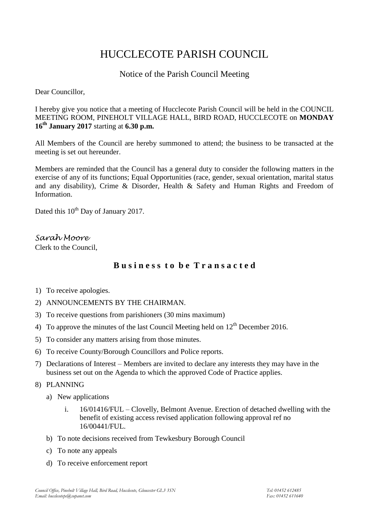# HUCCLECOTE PARISH COUNCIL

# Notice of the Parish Council Meeting

Dear Councillor,

I hereby give you notice that a meeting of Hucclecote Parish Council will be held in the COUNCIL MEETING ROOM, PINEHOLT VILLAGE HALL, BIRD ROAD, HUCCLECOTE on **MONDAY 16th January 2017** starting at **6.30 p.m.**

All Members of the Council are hereby summoned to attend; the business to be transacted at the meeting is set out hereunder.

Members are reminded that the Council has a general duty to consider the following matters in the exercise of any of its functions; Equal Opportunities (race, gender, sexual orientation, marital status and any disability), Crime & Disorder, Health & Safety and Human Rights and Freedom of Information.

Dated this 10<sup>th</sup> Day of January 2017.

*Sarah Moore* Clerk to the Council,

# **B u s i n e s s t o b e T r a n s a c t e d**

- 1) To receive apologies.
- 2) ANNOUNCEMENTS BY THE CHAIRMAN.
- 3) To receive questions from parishioners (30 mins maximum)
- 4) To approve the minutes of the last Council Meeting held on  $12<sup>th</sup>$  December 2016.
- 5) To consider any matters arising from those minutes.
- 6) To receive County/Borough Councillors and Police reports.
- 7) Declarations of Interest Members are invited to declare any interests they may have in the business set out on the Agenda to which the approved Code of Practice applies.

8) PLANNING

- a) New applications
	- i. 16/01416/FUL Clovelly, Belmont Avenue. Erection of detached dwelling with the benefit of existing access revised application following approval ref no 16/00441/FUL.
- b) To note decisions received from Tewkesbury Borough Council
- c) To note any appeals
- d) To receive enforcement report